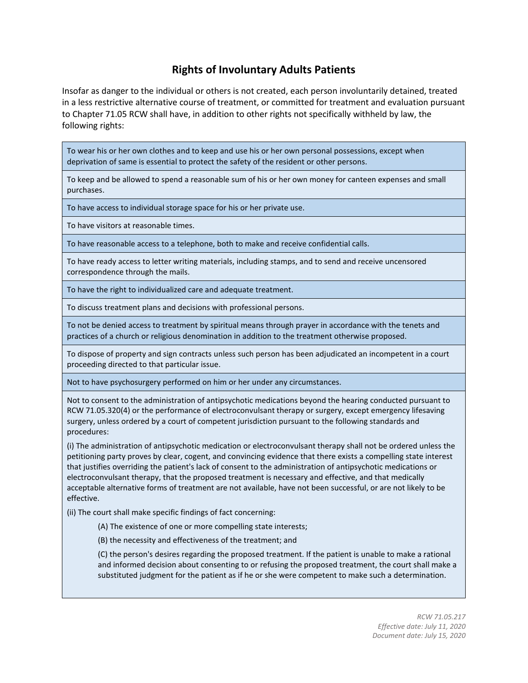## **Rights of Involuntary Adults Patients**

Insofar as danger to the individual or others is not created, each person involuntarily detained, treated in a less restrictive alternative course of treatment, or committed for treatment and evaluation pursuant to Chapter 71.05 RCW shall have, in addition to other rights not specifically withheld by law, the following rights:

To wear his or her own clothes and to keep and use his or her own personal possessions, except when deprivation of same is essential to protect the safety of the resident or other persons.

To keep and be allowed to spend a reasonable sum of his or her own money for canteen expenses and small purchases.

To have access to individual storage space for his or her private use.

To have visitors at reasonable times.

To have reasonable access to a telephone, both to make and receive confidential calls.

To have ready access to letter writing materials, including stamps, and to send and receive uncensored correspondence through the mails.

To have the right to individualized care and adequate treatment.

To discuss treatment plans and decisions with professional persons.

To not be denied access to treatment by spiritual means through prayer in accordance with the tenets and practices of a church or religious denomination in addition to the treatment otherwise proposed.

To dispose of property and sign contracts unless such person has been adjudicated an incompetent in a court proceeding directed to that particular issue.

Not to have psychosurgery performed on him or her under any circumstances.

Not to consent to the administration of antipsychotic medications beyond the hearing conducted pursuant to RCW 71.05.320(4) or the performance of electroconvulsant therapy or surgery, except emergency lifesaving surgery, unless ordered by a court of competent jurisdiction pursuant to the following standards and procedures:

(i) The administration of antipsychotic medication or electroconvulsant therapy shall not be ordered unless the petitioning party proves by clear, cogent, and convincing evidence that there exists a compelling state interest that justifies overriding the patient's lack of consent to the administration of antipsychotic medications or electroconvulsant therapy, that the proposed treatment is necessary and effective, and that medically acceptable alternative forms of treatment are not available, have not been successful, or are not likely to be effective.

(ii) The court shall make specific findings of fact concerning:

(A) The existence of one or more compelling state interests;

(B) the necessity and effectiveness of the treatment; and

(C) the person's desires regarding the proposed treatment. If the patient is unable to make a rational and informed decision about consenting to or refusing the proposed treatment, the court shall make a substituted judgment for the patient as if he or she were competent to make such a determination.

> *RCW [71.05.217](http://app.leg.wa.gov/RCW/default.aspx?cite=71.05.217) Effective date: July 11, 2020 Document date: July 15, 2020*